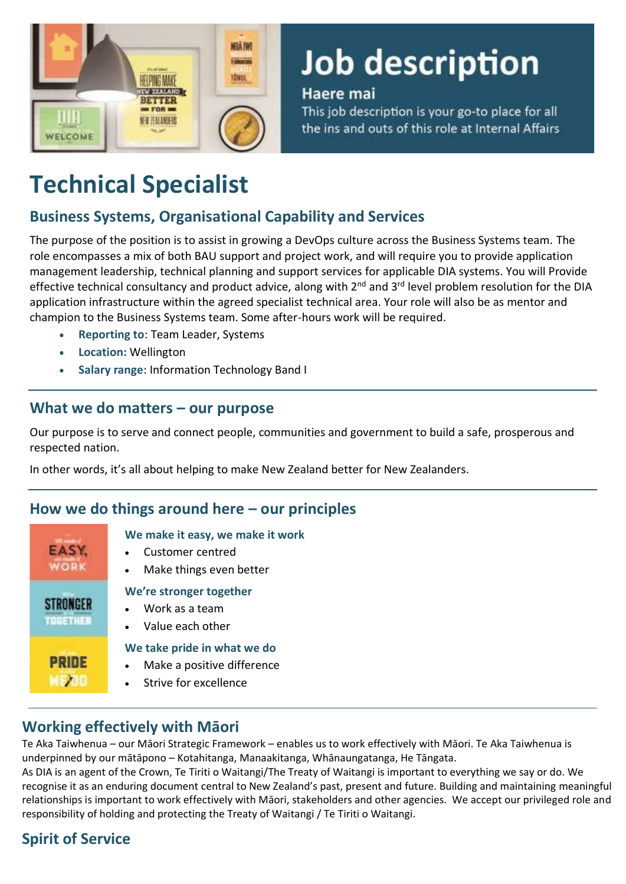

# Job description

#### **Haere** mai

This job description is your go-to place for all the ins and outs of this role at Internal Affairs

# **Technical Specialist**

# **Business Systems, Organisational Capability and Services**

The purpose of the position is to assist in growing a DevOps culture across the Business Systems team. The role encompasses a mix of both BAU support and project work, and will require you to provide application management leadership, technical planning and support services for applicable DIA systems. You will Provide effective technical consultancy and product advice, along with 2<sup>nd</sup> and 3<sup>rd</sup> level problem resolution for the DIA application infrastructure within the agreed specialist technical area. Your role will also be as mentor and champion to the Business Systems team. Some after-hours work will be required.

- **Reporting to**: Team Leader, Systems
- **Location:** Wellington
- **Salary range**: Information Technology Band I

### **What we do matters – our purpose**

Our purpose is to serve and connect people, communities and government to build a safe, prosperous and respected nation.

In other words, it's all about helping to make New Zealand better for New Zealanders.

## **How we do things around here – our principles**

| <b>STRONGER</b><br>B |
|----------------------|
| PRIDE                |

#### **We make it easy, we make it work**

- Customer centred
- Make things even better

#### **We're stronger together**

- Work as a team
- Value each other

#### **We take pride in what we do**

- Make a positive difference
- Strive for excellence

# **Working effectively with Māori**

Te Aka Taiwhenua – our Māori Strategic Framework – enables us to work effectively with Māori. Te Aka Taiwhenua is underpinned by our mātāpono - Kotahitanga, Manaakitanga, Whānaungatanga, He Tāngata.

As DIA is an agent of the Crown, Te Tiriti o Waitangi/The Treaty of Waitangi is important to everything we say or do. We recognise it as an enduring document central to New Zealand's past, present and future. Building and maintaining meaningful relationships is important to work effectively with Māori, stakeholders and other agencies. We accept our privileged role and responsibility of holding and protecting the Treaty of Waitangi / Te Tiriti o Waitangi.

# **Spirit of Service**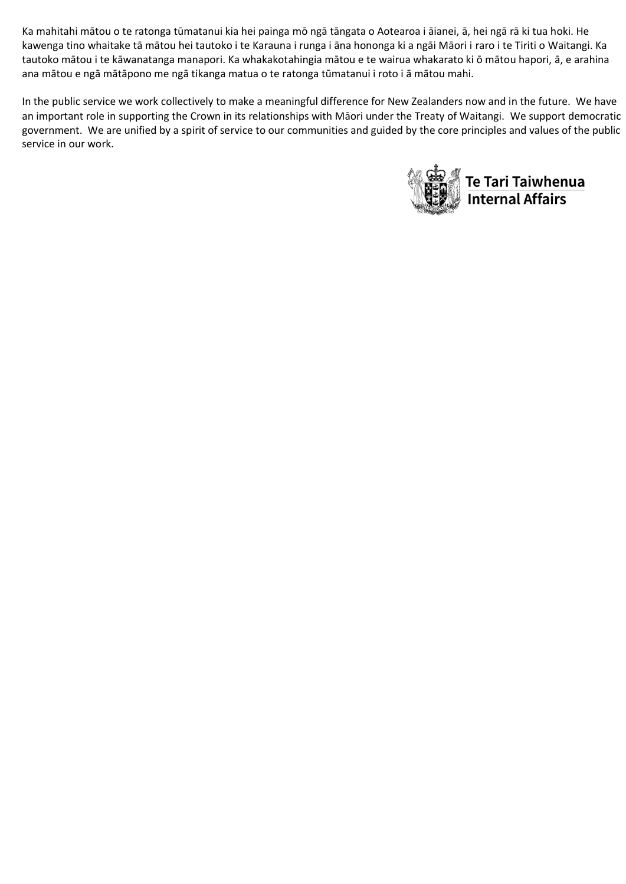Ka mahitahi mātou o te ratonga tūmatanui kia hei painga mō ngā tāngata o Aotearoa i āianei, ā, hei ngā rā ki tua hoki. He kawenga tino whaitake tā mātou hei tautoko i te Karauna i runga i āna hononga ki a ngāi Māori i raro i te Tiriti o Waitangi. Ka tautoko mātou i te kāwanatanga manapori. Ka whakakotahingia mātou e te wairua whakarato ki ō mātou hapori, ā, e arahina ana mātou e ngā mātāpono me ngā tikanga matua o te ratonga tūmatanui i roto i ā mātou mahi.

In the public service we work collectively to make a meaningful difference for New Zealanders now and in the future. We have an important role in supporting the Crown in its relationships with Māori under the Treaty of Waitangi. We support democratic government. We are unified by a spirit of service to our communities and guided by the core principles and values of the public service in our work.

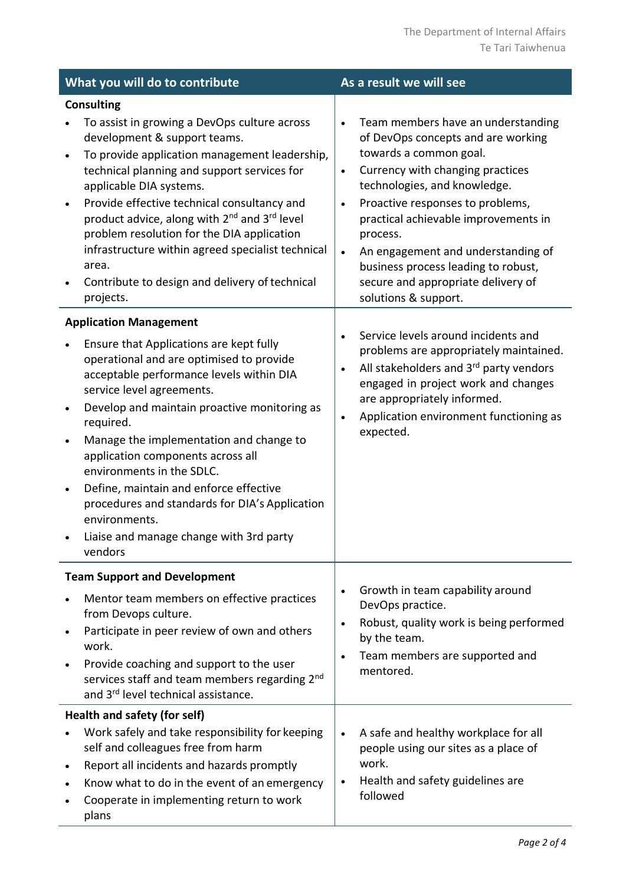| What you will do to contribute                                                                                                                                                                                                                                                                                                                                                                                                                                                                                                                           | As a result we will see                                                                                                                                                                                                                                                                                                                                                                                                                                       |
|----------------------------------------------------------------------------------------------------------------------------------------------------------------------------------------------------------------------------------------------------------------------------------------------------------------------------------------------------------------------------------------------------------------------------------------------------------------------------------------------------------------------------------------------------------|---------------------------------------------------------------------------------------------------------------------------------------------------------------------------------------------------------------------------------------------------------------------------------------------------------------------------------------------------------------------------------------------------------------------------------------------------------------|
| <b>Consulting</b><br>To assist in growing a DevOps culture across<br>development & support teams.<br>To provide application management leadership,<br>$\bullet$<br>technical planning and support services for<br>applicable DIA systems.<br>Provide effective technical consultancy and<br>$\bullet$<br>product advice, along with 2 <sup>nd</sup> and 3 <sup>rd</sup> level<br>problem resolution for the DIA application<br>infrastructure within agreed specialist technical<br>area.<br>Contribute to design and delivery of technical<br>projects. | Team members have an understanding<br>$\bullet$<br>of DevOps concepts and are working<br>towards a common goal.<br>Currency with changing practices<br>$\bullet$<br>technologies, and knowledge.<br>Proactive responses to problems,<br>$\bullet$<br>practical achievable improvements in<br>process.<br>An engagement and understanding of<br>$\bullet$<br>business process leading to robust,<br>secure and appropriate delivery of<br>solutions & support. |
| <b>Application Management</b><br>Ensure that Applications are kept fully<br>operational and are optimised to provide<br>acceptable performance levels within DIA<br>service level agreements.<br>Develop and maintain proactive monitoring as<br>required.<br>Manage the implementation and change to<br>application components across all<br>environments in the SDLC.<br>Define, maintain and enforce effective<br>$\bullet$<br>procedures and standards for DIA's Application<br>environments.<br>Liaise and manage change with 3rd party<br>vendors  | Service levels around incidents and<br>$\bullet$<br>problems are appropriately maintained.<br>All stakeholders and 3rd party vendors<br>$\bullet$<br>engaged in project work and changes<br>are appropriately informed.<br>Application environment functioning as<br>$\bullet$<br>expected.                                                                                                                                                                   |
| <b>Team Support and Development</b><br>Mentor team members on effective practices<br>from Devops culture.<br>Participate in peer review of own and others<br>$\bullet$<br>work.<br>Provide coaching and support to the user<br>services staff and team members regarding 2nd<br>and 3rd level technical assistance.<br>Health and safety (for self)<br>Work safely and take responsibility for keeping<br>self and colleagues free from harm                                                                                                             | Growth in team capability around<br>$\bullet$<br>DevOps practice.<br>Robust, quality work is being performed<br>$\bullet$<br>by the team.<br>Team members are supported and<br>$\bullet$<br>mentored.<br>A safe and healthy workplace for all<br>$\bullet$<br>people using our sites as a place of<br>work.                                                                                                                                                   |
| Report all incidents and hazards promptly<br>$\bullet$<br>Know what to do in the event of an emergency<br>Cooperate in implementing return to work<br>plans                                                                                                                                                                                                                                                                                                                                                                                              | Health and safety guidelines are<br>$\bullet$<br>followed                                                                                                                                                                                                                                                                                                                                                                                                     |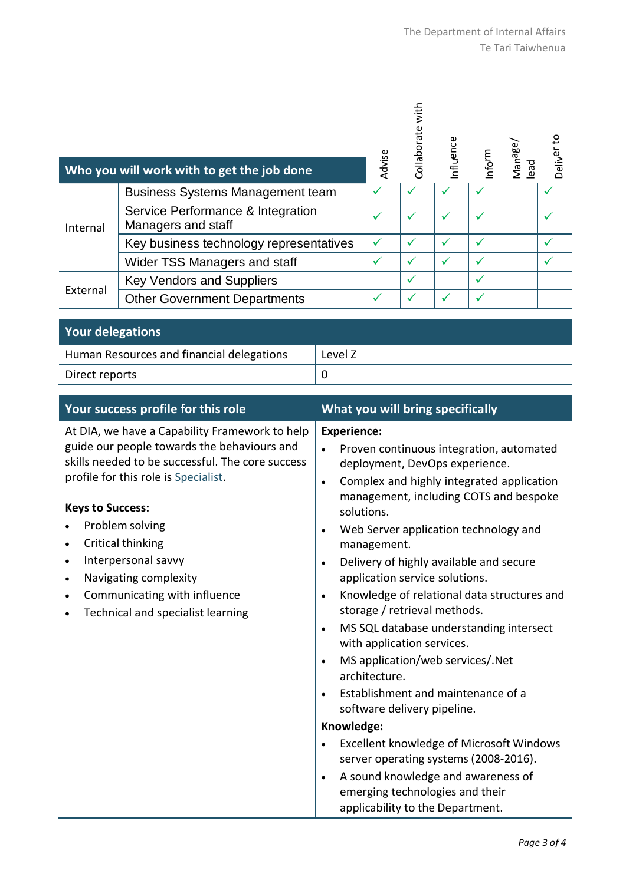|                                                                                                                                                                                                                                                                                                                                                                                                | Who you will work with to get the job done              |                                  | Advise                                                                         | Collaborate with | nfluence                                                                                                                    | Inform                                                                                                                                                                                                                                                           | Manage/<br>lead                                                                                                                                                                                                                                                                                                                                         | Deliver to |
|------------------------------------------------------------------------------------------------------------------------------------------------------------------------------------------------------------------------------------------------------------------------------------------------------------------------------------------------------------------------------------------------|---------------------------------------------------------|----------------------------------|--------------------------------------------------------------------------------|------------------|-----------------------------------------------------------------------------------------------------------------------------|------------------------------------------------------------------------------------------------------------------------------------------------------------------------------------------------------------------------------------------------------------------|---------------------------------------------------------------------------------------------------------------------------------------------------------------------------------------------------------------------------------------------------------------------------------------------------------------------------------------------------------|------------|
|                                                                                                                                                                                                                                                                                                                                                                                                | <b>Business Systems Management team</b>                 |                                  | $\checkmark$                                                                   | $\checkmark$     | $\checkmark$                                                                                                                | $\checkmark$                                                                                                                                                                                                                                                     |                                                                                                                                                                                                                                                                                                                                                         |            |
| Internal                                                                                                                                                                                                                                                                                                                                                                                       | Service Performance & Integration<br>Managers and staff |                                  | $\checkmark$                                                                   | $\checkmark$     | $\checkmark$                                                                                                                | $\checkmark$                                                                                                                                                                                                                                                     |                                                                                                                                                                                                                                                                                                                                                         | ✓          |
|                                                                                                                                                                                                                                                                                                                                                                                                | Key business technology representatives                 |                                  | $\checkmark$                                                                   | $\checkmark$     | $\checkmark$                                                                                                                | $\checkmark$                                                                                                                                                                                                                                                     |                                                                                                                                                                                                                                                                                                                                                         | ✓          |
|                                                                                                                                                                                                                                                                                                                                                                                                | Wider TSS Managers and staff                            |                                  |                                                                                | $\checkmark$     | $\checkmark$                                                                                                                | $\checkmark$                                                                                                                                                                                                                                                     |                                                                                                                                                                                                                                                                                                                                                         | ✓          |
| External                                                                                                                                                                                                                                                                                                                                                                                       | <b>Key Vendors and Suppliers</b>                        |                                  |                                                                                | $\checkmark$     |                                                                                                                             | $\checkmark$                                                                                                                                                                                                                                                     |                                                                                                                                                                                                                                                                                                                                                         |            |
|                                                                                                                                                                                                                                                                                                                                                                                                | <b>Other Government Departments</b>                     |                                  | $\checkmark$                                                                   | $\checkmark$     | $\checkmark$                                                                                                                | $\checkmark$                                                                                                                                                                                                                                                     |                                                                                                                                                                                                                                                                                                                                                         |            |
| <b>Your delegations</b>                                                                                                                                                                                                                                                                                                                                                                        |                                                         |                                  |                                                                                |                  |                                                                                                                             |                                                                                                                                                                                                                                                                  |                                                                                                                                                                                                                                                                                                                                                         |            |
|                                                                                                                                                                                                                                                                                                                                                                                                | Human Resources and financial delegations               | Level Z                          |                                                                                |                  |                                                                                                                             |                                                                                                                                                                                                                                                                  |                                                                                                                                                                                                                                                                                                                                                         |            |
| Direct reports                                                                                                                                                                                                                                                                                                                                                                                 |                                                         | $\mathbf 0$                      |                                                                                |                  |                                                                                                                             |                                                                                                                                                                                                                                                                  |                                                                                                                                                                                                                                                                                                                                                         |            |
|                                                                                                                                                                                                                                                                                                                                                                                                |                                                         |                                  |                                                                                |                  |                                                                                                                             |                                                                                                                                                                                                                                                                  |                                                                                                                                                                                                                                                                                                                                                         |            |
|                                                                                                                                                                                                                                                                                                                                                                                                | Your success profile for this role                      | What you will bring specifically |                                                                                |                  |                                                                                                                             |                                                                                                                                                                                                                                                                  |                                                                                                                                                                                                                                                                                                                                                         |            |
| At DIA, we have a Capability Framework to help<br>guide our people towards the behaviours and<br>skills needed to be successful. The core success<br>profile for this role is Specialist.<br><b>Keys to Success:</b><br>Problem solving<br>Critical thinking<br>Interpersonal savvy<br>Navigating complexity<br>Communicating with influence<br>Technical and specialist learning<br>$\bullet$ |                                                         |                                  | <b>Experience:</b><br>solutions.<br>management.<br>architecture.<br>Knowledge: |                  | application service solutions.<br>storage / retrieval methods.<br>with application services.<br>software delivery pipeline. | deployment, DevOps experience.<br>Delivery of highly available and secure<br>MS application/web services/.Net<br>Establishment and maintenance of a<br>A sound knowledge and awareness of<br>emerging technologies and their<br>applicability to the Department. | Proven continuous integration, automated<br>Complex and highly integrated application<br>management, including COTS and bespoke<br>Web Server application technology and<br>Knowledge of relational data structures and<br>MS SQL database understanding intersect<br>Excellent knowledge of Microsoft Windows<br>server operating systems (2008-2016). |            |

#### **Keys to Success:**

- Problem solving
- Critical thinking
- Interpersonal savvy
- Navigating complexity
- Communicating with influence
- Technical and specialist learning

- Knowledge of relational data structures and storage / retrieval methods.
- MS SQL database understanding intersect with application services.
- MS application/web services/.Net architecture.
- Establishment and maintenance of a software delivery pipeline.

#### **Knowledge:**

- Excellent knowledge of Microsoft Windows server operating systems (2008-2016).
- A sound knowledge and awareness of emerging technologies and their